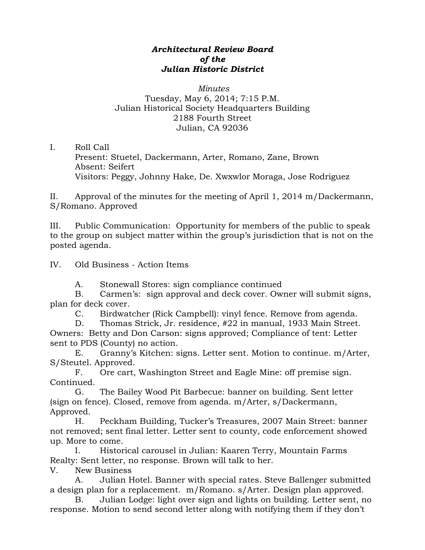## *Architectural Review Board of the Julian Historic District*

## *Minutes*  Tuesday, May 6, 2014; 7:15 P.M. Julian Historical Society Headquarters Building 2188 Fourth Street Julian, CA 92036

I. Roll Call

Present: Stuetel, Dackermann, Arter, Romano, Zane, Brown Absent: Seifert Visitors: Peggy, Johnny Hake, De. Xwxwlor Moraga, Jose Rodriguez

II. Approval of the minutes for the meeting of April 1, 2014 m/Dackermann, S/Romano. Approved

III. Public Communication: Opportunity for members of the public to speak to the group on subject matter within the group's jurisdiction that is not on the posted agenda.

IV. Old Business - Action Items

A. Stonewall Stores: sign compliance continued

B. Carmen's: sign approval and deck cover. Owner will submit signs, plan for deck cover.

C. Birdwatcher (Rick Campbell): vinyl fence. Remove from agenda.

D. Thomas Strick, Jr. residence, #22 in manual, 1933 Main Street. Owners: Betty and Don Carson: signs approved; Compliance of tent: Letter sent to PDS (County) no action.

E. Granny's Kitchen: signs. Letter sent. Motion to continue. m/Arter, S/Steutel. Approved.

F. Ore cart, Washington Street and Eagle Mine: off premise sign. Continued.

G. The Bailey Wood Pit Barbecue: banner on building. Sent letter (sign on fence). Closed, remove from agenda. m/Arter, s/Dackermann, Approved.

H. Peckham Building, Tucker's Treasures, 2007 Main Street: banner not removed; sent final letter. Letter sent to county, code enforcement showed up. More to come.

I. Historical carousel in Julian: Kaaren Terry, Mountain Farms Realty: Sent letter, no response. Brown will talk to her.

V. New Business

A. Julian Hotel. Banner with special rates. Steve Ballenger submitted a design plan for a replacement. m/Romano. s/Arter. Design plan approved.

B. Julian Lodge: light over sign and lights on building. Letter sent, no response. Motion to send second letter along with notifying them if they don't